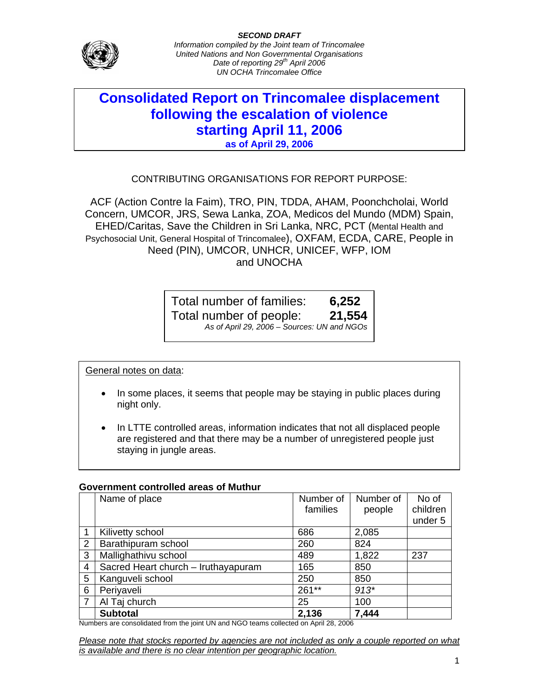

# **Consolidated Report on Trincomalee displacement following the escalation of violence starting April 11, 2006 as of April 29, 2006**

# CONTRIBUTING ORGANISATIONS FOR REPORT PURPOSE:

ACF (Action Contre la Faim), TRO, PIN, TDDA, AHAM, Poonchcholai, World Concern, UMCOR, JRS, Sewa Lanka, ZOA, Medicos del Mundo (MDM) Spain, EHED/Caritas, Save the Children in Sri Lanka, NRC, PCT (Mental Health and Psychosocial Unit, General Hospital of Trincomalee), OXFAM, ECDA, CARE, People in Need (PIN), UMCOR, UNHCR, UNICEF, WFP, IOM and UNOCHA

> Total number of families: **6,252** Total number of people: **21,554** *As of April 29, 2006 – Sources: UN and NGOs*

General notes on data:

- In some places, it seems that people may be staying in public places during night only.
- In LTTE controlled areas, information indicates that not all displaced people are registered and that there may be a number of unregistered people just staying in jungle areas.

## **Government controlled areas of Muthur**

|   | Name of place                       | Number of | Number of | No of    |
|---|-------------------------------------|-----------|-----------|----------|
|   |                                     | families  | people    | children |
|   |                                     |           |           | under 5  |
|   | Kilivetty school                    | 686       | 2,085     |          |
| 2 | Barathipuram school                 | 260       | 824       |          |
| 3 | Mallighathivu school                | 489       | 1,822     | 237      |
| 4 | Sacred Heart church - Iruthayapuram | 165       | 850       |          |
| 5 | Kanguveli school                    | 250       | 850       |          |
| 6 | Periyaveli                          | 261**     | $913*$    |          |
|   | Al Taj church                       | 25        | 100       |          |
|   | <b>Subtotal</b>                     | 2,136     | 7,444     |          |

Numbers are consolidated from the joint UN and NGO teams collected on April 28, 2006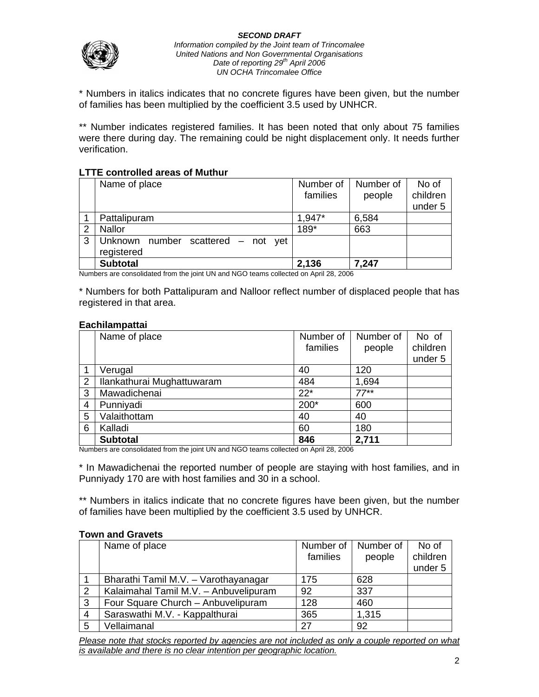

*Information compiled by the Joint team of Trincomalee United Nations and Non Governmental Organisations Date of reporting 29th April 2006 UN OCHA Trincomalee Office*

\* Numbers in italics indicates that no concrete figures have been given, but the number of families has been multiplied by the coefficient 3.5 used by UNHCR.

\*\* Number indicates registered families. It has been noted that only about 75 families were there during day. The remaining could be night displacement only. It needs further verification.

## **LTTE controlled areas of Muthur**

|    | Name of place                      | Number of | Number of | No of    |
|----|------------------------------------|-----------|-----------|----------|
|    |                                    | families  | people    | children |
|    |                                    |           |           | under 5  |
|    | Pattalipuram                       | 1,947*    | 6,584     |          |
| 2  | <b>Nallor</b>                      | 189*      | 663       |          |
| -3 | Unknown number scattered – not yet |           |           |          |
|    | registered                         |           |           |          |
|    | <b>Subtotal</b>                    | 2,136     | 7,247     |          |

Numbers are consolidated from the joint UN and NGO teams collected on April 28, 2006

\* Numbers for both Pattalipuram and Nalloor reflect number of displaced people that has registered in that area.

#### **Eachilampattai**

|   | Name of place              | Number of | Number of | No of    |
|---|----------------------------|-----------|-----------|----------|
|   |                            | families  | people    | children |
|   |                            |           |           | under 5  |
|   | Verugal                    | 40        | 120       |          |
| 2 | Ilankathurai Mughattuwaram | 484       | 1,694     |          |
| 3 | Mawadichenai               | $22*$     | $77***$   |          |
| 4 | Punniyadi                  | 200*      | 600       |          |
| 5 | Valaithottam               | 40        | 40        |          |
| 6 | Kalladi                    | 60        | 180       |          |
|   | <b>Subtotal</b>            | 846       | 2,711     |          |

Numbers are consolidated from the joint UN and NGO teams collected on April 28, 2006

\* In Mawadichenai the reported number of people are staying with host families, and in Punniyady 170 are with host families and 30 in a school.

\*\* Numbers in italics indicate that no concrete figures have been given, but the number of families have been multiplied by the coefficient 3.5 used by UNHCR.

|   | Name of place                         | Number of | Number of | No of    |
|---|---------------------------------------|-----------|-----------|----------|
|   |                                       | families  | people    | children |
|   |                                       |           |           | under 5  |
|   | Bharathi Tamil M.V. - Varothayanagar  | 175       | 628       |          |
| 2 | Kalaimahal Tamil M.V. - Anbuvelipuram | 92        | 337       |          |
| 3 | Four Square Church - Anbuvelipuram    | 128       | 460       |          |
| 4 | Saraswathi M.V. - Kappalthurai        | 365       | 1,315     |          |
| 5 | Vellaimanal                           | 27        | 92        |          |

### **Town and Gravets**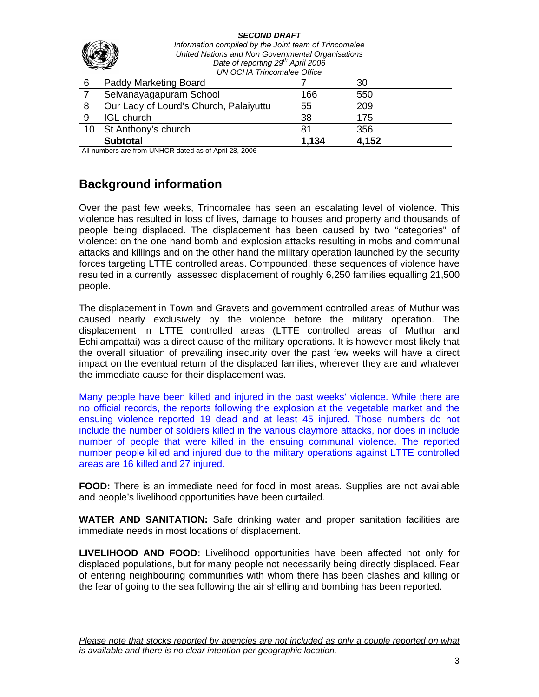

*Information compiled by the Joint team of Trincomalee United Nations and Non Governmental Organisations Date of reporting 29th April 2006 UN OCHA Trincomalee Office*

| 6  | <b>Paddy Marketing Board</b>           |       | 30    |
|----|----------------------------------------|-------|-------|
|    | Selvanayagapuram School                | 166   | 550   |
| 8  | Our Lady of Lourd's Church, Palaiyuttu | 55    | 209   |
| 9  | <b>IGL</b> church                      | 38    | 175   |
| 10 | St Anthony's church                    | 81    | 356   |
|    | <b>Subtotal</b>                        | 1,134 | 4,152 |

All numbers are from UNHCR dated as of April 28, 2006

# **Background information**

Over the past few weeks, Trincomalee has seen an escalating level of violence. This violence has resulted in loss of lives, damage to houses and property and thousands of people being displaced. The displacement has been caused by two "categories" of violence: on the one hand bomb and explosion attacks resulting in mobs and communal attacks and killings and on the other hand the military operation launched by the security forces targeting LTTE controlled areas. Compounded, these sequences of violence have resulted in a currently assessed displacement of roughly 6,250 families equalling 21,500 people.

The displacement in Town and Gravets and government controlled areas of Muthur was caused nearly exclusively by the violence before the military operation. The displacement in LTTE controlled areas (LTTE controlled areas of Muthur and Echilampattai) was a direct cause of the military operations. It is however most likely that the overall situation of prevailing insecurity over the past few weeks will have a direct impact on the eventual return of the displaced families, wherever they are and whatever the immediate cause for their displacement was.

Many people have been killed and injured in the past weeks' violence. While there are no official records, the reports following the explosion at the vegetable market and the ensuing violence reported 19 dead and at least 45 injured. Those numbers do not include the number of soldiers killed in the various claymore attacks, nor does in include number of people that were killed in the ensuing communal violence. The reported number people killed and injured due to the military operations against LTTE controlled areas are 16 killed and 27 injured.

**FOOD:** There is an immediate need for food in most areas. Supplies are not available and people's livelihood opportunities have been curtailed.

**WATER AND SANITATION:** Safe drinking water and proper sanitation facilities are immediate needs in most locations of displacement.

**LIVELIHOOD AND FOOD:** Livelihood opportunities have been affected not only for displaced populations, but for many people not necessarily being directly displaced. Fear of entering neighbouring communities with whom there has been clashes and killing or the fear of going to the sea following the air shelling and bombing has been reported.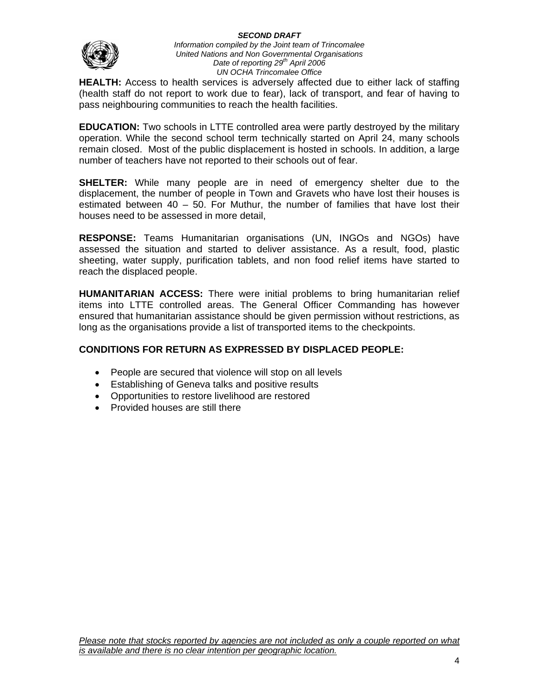

#### *Information compiled by the Joint team of Trincomalee United Nations and Non Governmental Organisations*  Date of reporting 29<sup>th</sup> April 2006 *UN OCHA Trincomalee Office*

**HEALTH:** Access to health services is adversely affected due to either lack of staffing (health staff do not report to work due to fear), lack of transport, and fear of having to pass neighbouring communities to reach the health facilities.

**EDUCATION:** Two schools in LTTE controlled area were partly destroyed by the military operation. While the second school term technically started on April 24, many schools remain closed. Most of the public displacement is hosted in schools. In addition, a large number of teachers have not reported to their schools out of fear.

**SHELTER:** While many people are in need of emergency shelter due to the displacement, the number of people in Town and Gravets who have lost their houses is estimated between 40 – 50. For Muthur, the number of families that have lost their houses need to be assessed in more detail,

**RESPONSE:** Teams Humanitarian organisations (UN, INGOs and NGOs) have assessed the situation and started to deliver assistance. As a result, food, plastic sheeting, water supply, purification tablets, and non food relief items have started to reach the displaced people.

**HUMANITARIAN ACCESS:** There were initial problems to bring humanitarian relief items into LTTE controlled areas. The General Officer Commanding has however ensured that humanitarian assistance should be given permission without restrictions, as long as the organisations provide a list of transported items to the checkpoints.

# **CONDITIONS FOR RETURN AS EXPRESSED BY DISPLACED PEOPLE:**

- People are secured that violence will stop on all levels
- Establishing of Geneva talks and positive results
- Opportunities to restore livelihood are restored
- Provided houses are still there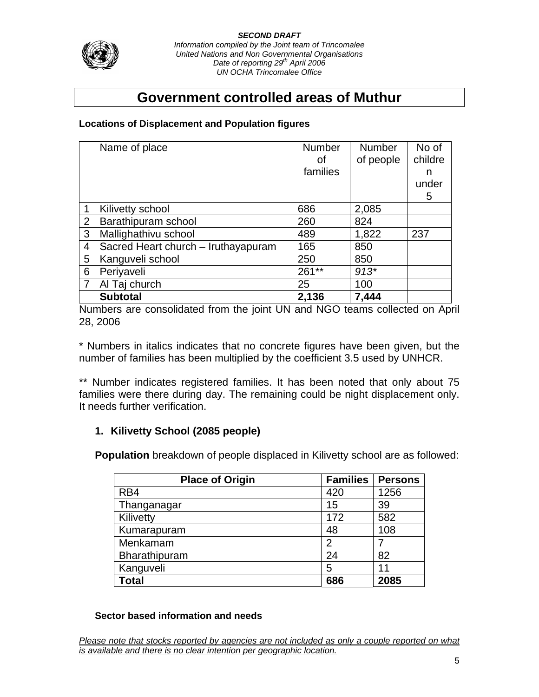

*Information compiled by the Joint team of Trincomalee United Nations and Non Governmental Organisations Date of reporting 29th April 2006 UN OCHA Trincomalee Office*

# **Government controlled areas of Muthur**

# **Locations of Displacement and Population figures**

|                | Name of place                       | <b>Number</b> | <b>Number</b> | No of   |
|----------------|-------------------------------------|---------------|---------------|---------|
|                |                                     | οf            | of people     | childre |
|                |                                     | families      |               | n       |
|                |                                     |               |               | under   |
|                |                                     |               |               | 5       |
| 1              | Kilivetty school                    | 686           | 2,085         |         |
| 2              | Barathipuram school                 | 260           | 824           |         |
| 3              | Mallighathivu school                | 489           | 1,822         | 237     |
| $\overline{4}$ | Sacred Heart church - Iruthayapuram | 165           | 850           |         |
| 5              | Kanguveli school                    | 250           | 850           |         |
| 6              | Periyaveli                          | 261**         | $913*$        |         |
| $\overline{7}$ | Al Taj church                       | 25            | 100           |         |
|                | <b>Subtotal</b>                     | 2,136         | 7,444         |         |

Numbers are consolidated from the joint UN and NGO teams collected on April 28, 2006

\* Numbers in italics indicates that no concrete figures have been given, but the number of families has been multiplied by the coefficient 3.5 used by UNHCR.

\*\* Number indicates registered families. It has been noted that only about 75 families were there during day. The remaining could be night displacement only. It needs further verification.

# **1. Kilivetty School (2085 people)**

**Population** breakdown of people displaced in Kilivetty school are as followed:

| <b>Place of Origin</b> | <b>Families</b> | <b>Persons</b> |
|------------------------|-----------------|----------------|
| RB4                    | 420             | 1256           |
| Thanganagar            | 15              | 39             |
| Kilivetty              | 172             | 582            |
| Kumarapuram            | 48              | 108            |
| Menkamam               | 2               |                |
| Bharathipuram          | 24              | 82             |
| Kanguveli              | 5               | 11             |
| Total                  | 686             | 2085           |

# **Sector based information and needs**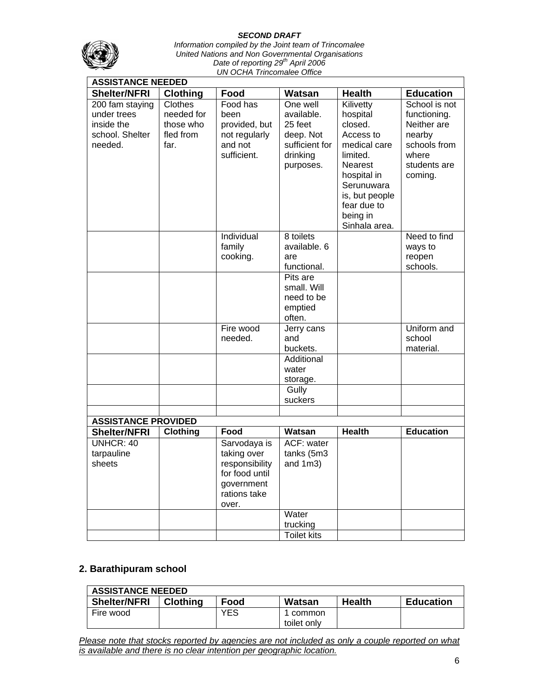

*Information compiled by the Joint team of Trincomalee United Nations and Non Governmental Organisations Date of reporting 29th April 2006 UN OCHA Trincomalee Office*

| <b>ASSISTANCE NEEDED</b>   |                 |                |                    |                           |                  |
|----------------------------|-----------------|----------------|--------------------|---------------------------|------------------|
| <b>Shelter/NFRI</b>        | <b>Clothing</b> | Food           | Watsan             | <b>Health</b>             | <b>Education</b> |
| 200 fam staying            | Clothes         | Food has       | One well           | Kilivetty                 | School is not    |
| under trees                | needed for      | been           | available.         | hospital                  | functioning.     |
| inside the                 | those who       | provided, but  | 25 feet            | closed.                   | Neither are      |
| school. Shelter            | fled from       | not regularly  | deep. Not          | Access to                 | nearby           |
| needed.                    | far.            | and not        | sufficient for     | medical care              | schools from     |
|                            |                 | sufficient.    | drinking           | limited.                  | where            |
|                            |                 |                | purposes.          | <b>Nearest</b>            | students are     |
|                            |                 |                |                    | hospital in<br>Serunuwara | coming.          |
|                            |                 |                |                    | is, but people            |                  |
|                            |                 |                |                    | fear due to               |                  |
|                            |                 |                |                    | being in                  |                  |
|                            |                 |                |                    | Sinhala area.             |                  |
|                            |                 | Individual     | 8 toilets          |                           | Need to find     |
|                            |                 | family         | available. 6       |                           | ways to          |
|                            |                 | cooking.       | are                |                           | reopen           |
|                            |                 |                | functional.        |                           | schools.         |
|                            |                 |                | Pits are           |                           |                  |
|                            |                 |                | small. Will        |                           |                  |
|                            |                 |                | need to be         |                           |                  |
|                            |                 |                | emptied<br>often.  |                           |                  |
|                            |                 | Fire wood      | Jerry cans         |                           | Uniform and      |
|                            |                 | needed.        | and                |                           | school           |
|                            |                 |                | buckets.           |                           | material.        |
|                            |                 |                | Additional         |                           |                  |
|                            |                 |                | water              |                           |                  |
|                            |                 |                | storage.           |                           |                  |
|                            |                 |                | Gully              |                           |                  |
|                            |                 |                | suckers            |                           |                  |
| <b>ASSISTANCE PROVIDED</b> |                 |                |                    |                           |                  |
| <b>Shelter/NFRI</b>        | Clothing        | Food           | Watsan             | <b>Health</b>             | <b>Education</b> |
| <b>UNHCR: 40</b>           |                 | Sarvodaya is   | ACF: water         |                           |                  |
| tarpauline                 |                 | taking over    | tanks (5m3         |                           |                  |
| sheets                     |                 | responsibility | and $1m3$ )        |                           |                  |
|                            |                 | for food until |                    |                           |                  |
|                            |                 | government     |                    |                           |                  |
|                            |                 | rations take   |                    |                           |                  |
|                            |                 | over.          |                    |                           |                  |
|                            |                 |                | Water              |                           |                  |
|                            |                 |                | trucking           |                           |                  |
|                            |                 |                | <b>Toilet kits</b> |                           |                  |

# **2. Barathipuram school**

| <b>ASSISTANCE NEEDED</b> |                 |      |             |               |                  |  |  |
|--------------------------|-----------------|------|-------------|---------------|------------------|--|--|
| <b>Shelter/NFRI</b>      | <b>Clothing</b> | Food | Watsan      | <b>Health</b> | <b>Education</b> |  |  |
| Fire wood                |                 | YES  | common      |               |                  |  |  |
|                          |                 |      | toilet only |               |                  |  |  |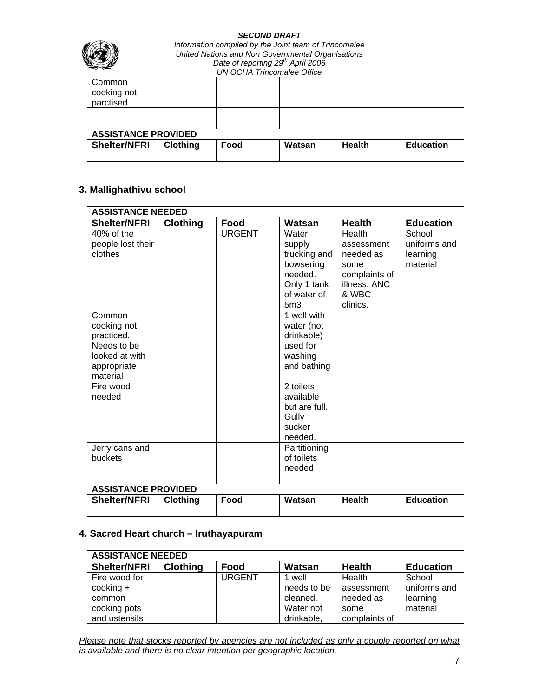

| Common<br>cooking not<br>parctised |                            |      |        |               |                  |  |  |
|------------------------------------|----------------------------|------|--------|---------------|------------------|--|--|
|                                    |                            |      |        |               |                  |  |  |
|                                    |                            |      |        |               |                  |  |  |
|                                    | <b>ASSISTANCE PROVIDED</b> |      |        |               |                  |  |  |
| <b>Shelter/NFRI</b>                | <b>Clothing</b>            | Food | Watsan | <b>Health</b> | <b>Education</b> |  |  |
|                                    |                            |      |        |               |                  |  |  |

# **3. Mallighathivu school**

| <b>ASSISTANCE NEEDED</b>                                                                        |                 |               |                                                                                                          |                                                                                                 |                                                |
|-------------------------------------------------------------------------------------------------|-----------------|---------------|----------------------------------------------------------------------------------------------------------|-------------------------------------------------------------------------------------------------|------------------------------------------------|
| <b>Shelter/NFRI</b>                                                                             | Clothing        | Food          | Watsan                                                                                                   | <b>Health</b>                                                                                   | <b>Education</b>                               |
| 40% of the<br>people lost their<br>clothes                                                      |                 | <b>URGENT</b> | Water<br>supply<br>trucking and<br>bowsering<br>needed.<br>Only 1 tank<br>of water of<br>5 <sub>m3</sub> | Health<br>assessment<br>needed as<br>some<br>complaints of<br>illness, ANC<br>& WBC<br>clinics. | School<br>uniforms and<br>learning<br>material |
| Common<br>cooking not<br>practiced.<br>Needs to be<br>looked at with<br>appropriate<br>material |                 |               | 1 well with<br>water (not<br>drinkable)<br>used for<br>washing<br>and bathing                            |                                                                                                 |                                                |
| Fire wood<br>needed                                                                             |                 |               | 2 toilets<br>available<br>but are full.<br>Gully<br>sucker<br>needed.                                    |                                                                                                 |                                                |
| Jerry cans and<br>buckets                                                                       |                 |               | Partitioning<br>of toilets<br>needed                                                                     |                                                                                                 |                                                |
|                                                                                                 |                 |               |                                                                                                          |                                                                                                 |                                                |
| <b>ASSISTANCE PROVIDED</b>                                                                      |                 |               |                                                                                                          |                                                                                                 |                                                |
| <b>Shelter/NFRI</b>                                                                             | <b>Clothing</b> | Food          | Watsan                                                                                                   | <b>Health</b>                                                                                   | <b>Education</b>                               |
|                                                                                                 |                 |               |                                                                                                          |                                                                                                 |                                                |

# **4. Sacred Heart church – Iruthayapuram**

| <b>ASSISTANCE NEEDED</b> |                 |               |             |               |                  |  |  |
|--------------------------|-----------------|---------------|-------------|---------------|------------------|--|--|
| <b>Shelter/NFRI</b>      | <b>Clothing</b> | Food          | Watsan      | <b>Health</b> | <b>Education</b> |  |  |
| Fire wood for            |                 | <b>URGENT</b> | well        | Health        | School           |  |  |
| $\cosh( \ln 9 +$         |                 |               | needs to be | assessment    | uniforms and     |  |  |
| common                   |                 |               | cleaned.    | needed as     | learning         |  |  |
| cooking pots             |                 |               | Water not   | some          | material         |  |  |
| and ustensils            |                 |               | drinkable,  | complaints of |                  |  |  |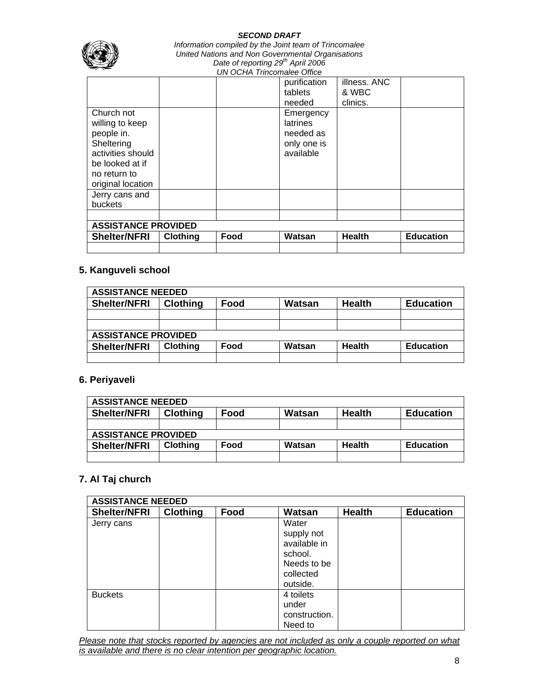

*Information compiled by the Joint team of Trincomalee United Nations and Non Governmental Organisations Date of reporting 29th April 2006 UN OCHA Trincomalee Office*

|                            |                 |      | purification<br>tablets | illness. ANC<br>& WBC |                  |
|----------------------------|-----------------|------|-------------------------|-----------------------|------------------|
|                            |                 |      |                         |                       |                  |
|                            |                 |      | needed                  | clinics.              |                  |
| Church not                 |                 |      | Emergency               |                       |                  |
| willing to keep            |                 |      | <b>latrines</b>         |                       |                  |
| people in.                 |                 |      | needed as               |                       |                  |
| Sheltering                 |                 |      | only one is             |                       |                  |
| activities should          |                 |      | available               |                       |                  |
| be looked at if            |                 |      |                         |                       |                  |
| no return to               |                 |      |                         |                       |                  |
| original location          |                 |      |                         |                       |                  |
| Jerry cans and             |                 |      |                         |                       |                  |
| buckets                    |                 |      |                         |                       |                  |
|                            |                 |      |                         |                       |                  |
| <b>ASSISTANCE PROVIDED</b> |                 |      |                         |                       |                  |
| <b>Shelter/NFRI</b>        | <b>Clothing</b> | Food | Watsan                  | <b>Health</b>         | <b>Education</b> |
|                            |                 |      |                         |                       |                  |

# **5. Kanguveli school**

| <b>ASSISTANCE NEEDED</b> |                            |      |        |               |                  |  |
|--------------------------|----------------------------|------|--------|---------------|------------------|--|
| <b>Shelter/NFRI</b>      | <b>Clothing</b>            | Food | Watsan | <b>Health</b> | <b>Education</b> |  |
|                          |                            |      |        |               |                  |  |
|                          |                            |      |        |               |                  |  |
|                          | <b>ASSISTANCE PROVIDED</b> |      |        |               |                  |  |
| <b>Shelter/NFRI</b>      | <b>Clothing</b>            | Food | Watsan | Health        | <b>Education</b> |  |
|                          |                            |      |        |               |                  |  |

#### **6. Periyaveli**

| <b>ASSISTANCE NEEDED</b> |                            |      |        |               |                  |  |  |
|--------------------------|----------------------------|------|--------|---------------|------------------|--|--|
| <b>Shelter/NFRI</b>      | <b>Clothing</b>            | Food | Watsan | <b>Health</b> | <b>Education</b> |  |  |
|                          |                            |      |        |               |                  |  |  |
|                          | <b>ASSISTANCE PROVIDED</b> |      |        |               |                  |  |  |
| <b>Shelter/NFRI</b>      | <b>Clothing</b>            | Food | Watsan | <b>Health</b> | <b>Education</b> |  |  |
|                          |                            |      |        |               |                  |  |  |

#### **7. Al Taj church**

| <b>ASSISTANCE NEEDED</b> |                 |      |                                                                                        |               |                  |  |
|--------------------------|-----------------|------|----------------------------------------------------------------------------------------|---------------|------------------|--|
| <b>Shelter/NFRI</b>      | <b>Clothing</b> | Food | Watsan                                                                                 | <b>Health</b> | <b>Education</b> |  |
| Jerry cans               |                 |      | Water<br>supply not<br>available in<br>school.<br>Needs to be<br>collected<br>outside. |               |                  |  |
| <b>Buckets</b>           |                 |      | 4 toilets<br>under<br>construction.<br>Need to                                         |               |                  |  |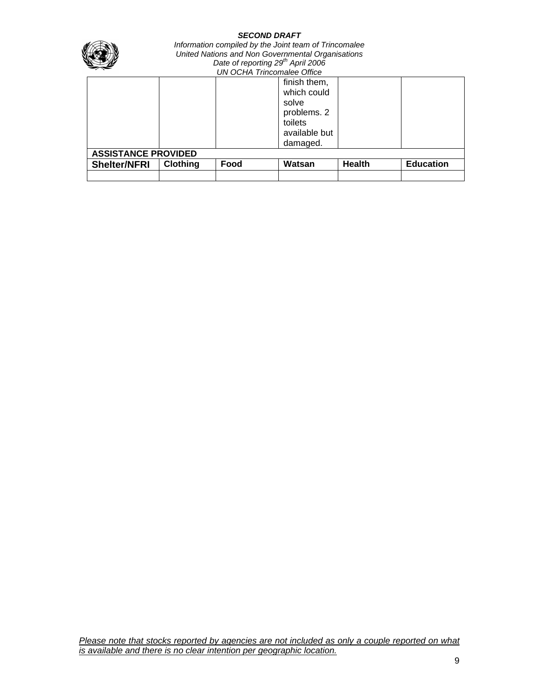

*Information compiled by the Joint team of Trincomalee United Nations and Non Governmental Organisations Date of reporting 29th April 2006 UN OCHA Trincomalee Office*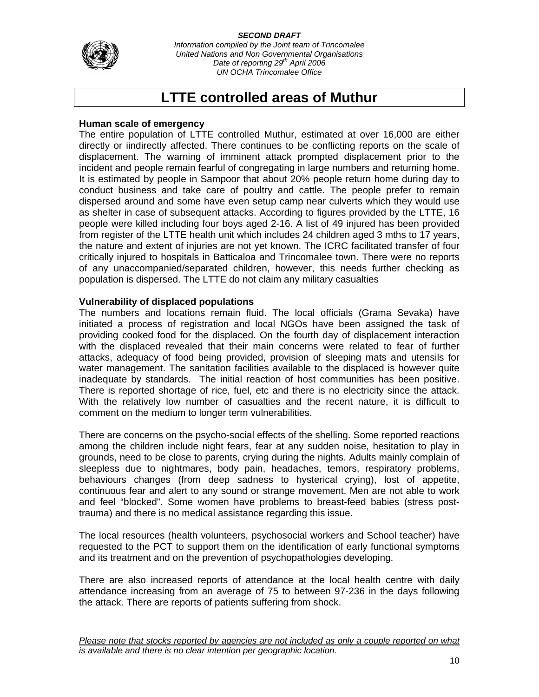

*Information compiled by the Joint team of Trincomalee United Nations and Non Governmental Organisations Date of reporting 29th April 2006 UN OCHA Trincomalee Office*

# **LTTE controlled areas of Muthur**

## **Human scale of emergency**

The entire population of LTTE controlled Muthur, estimated at over 16,000 are either directly or iindirectly affected. There continues to be conflicting reports on the scale of displacement. The warning of imminent attack prompted displacement prior to the incident and people remain fearful of congregating in large numbers and returning home. It is estimated by people in Sampoor that about 20% people return home during day to conduct business and take care of poultry and cattle. The people prefer to remain dispersed around and some have even setup camp near culverts which they would use as shelter in case of subsequent attacks. According to figures provided by the LTTE, 16 people were killed including four boys aged 2-16. A list of 49 injured has been provided from register of the LTTE health unit which includes 24 children aged 3 mths to 17 years, the nature and extent of injuries are not yet known. The ICRC facilitated transfer of four critically injured to hospitals in Batticaloa and Trincomalee town. There were no reports of any unaccompanied/separated children, however, this needs further checking as population is dispersed. The LTTE do not claim any military casualties

# **Vulnerability of displaced populations**

The numbers and locations remain fluid. The local officials (Grama Sevaka) have initiated a process of registration and local NGOs have been assigned the task of providing cooked food for the displaced. On the fourth day of displacement interaction with the displaced revealed that their main concerns were related to fear of further attacks, adequacy of food being provided, provision of sleeping mats and utensils for water management. The sanitation facilities available to the displaced is however quite inadequate by standards. The initial reaction of host communities has been positive. There is reported shortage of rice, fuel, etc and there is no electricity since the attack. With the relatively low number of casualties and the recent nature, it is difficult to comment on the medium to longer term vulnerabilities.

There are concerns on the psycho-social effects of the shelling. Some reported reactions among the children include night fears, fear at any sudden noise, hesitation to play in grounds, need to be close to parents, crying during the nights. Adults mainly complain of sleepless due to nightmares, body pain, headaches, temors, respiratory problems, behaviours changes (from deep sadness to hysterical crying), lost of appetite, continuous fear and alert to any sound or strange movement. Men are not able to work and feel "blocked". Some women have problems to breast-feed babies (stress posttrauma) and there is no medical assistance regarding this issue.

The local resources (health volunteers, psychosocial workers and School teacher) have requested to the PCT to support them on the identification of early functional symptoms and its treatment and on the prevention of psychopathologies developing.

There are also increased reports of attendance at the local health centre with daily attendance increasing from an average of 75 to between 97-236 in the days following the attack. There are reports of patients suffering from shock.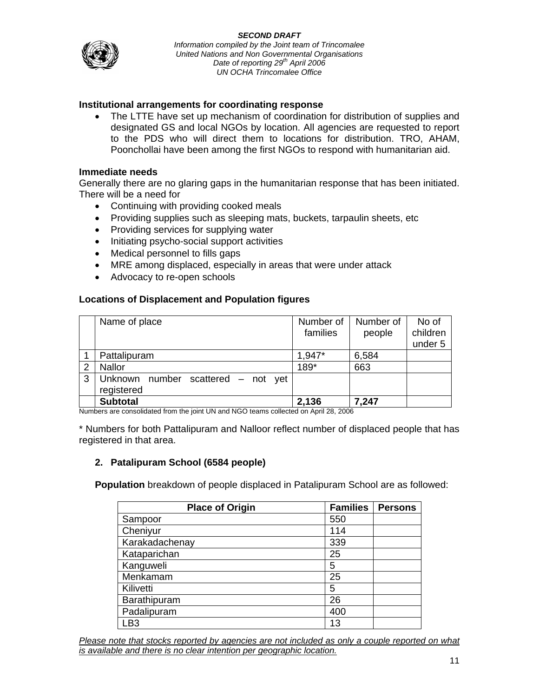# **Institutional arrangements for coordinating response**

• The LTTE have set up mechanism of coordination for distribution of supplies and designated GS and local NGOs by location. All agencies are requested to report to the PDS who will direct them to locations for distribution. TRO, AHAM, Poonchollai have been among the first NGOs to respond with humanitarian aid.

### **Immediate needs**

Generally there are no glaring gaps in the humanitarian response that has been initiated. There will be a need for

- Continuing with providing cooked meals
- Providing supplies such as sleeping mats, buckets, tarpaulin sheets, etc
- Providing services for supplying water
- Initiating psycho-social support activities
- Medical personnel to fills gaps
- MRE among displaced, especially in areas that were under attack
- Advocacy to re-open schools

## **Locations of Displacement and Population figures**

|   | Name of place                         | Number of | Number of | No of    |
|---|---------------------------------------|-----------|-----------|----------|
|   |                                       | families  | people    | children |
|   |                                       |           |           | under 5  |
|   | Pattalipuram                          | 1,947*    | 6,584     |          |
| 2 | <b>Nallor</b>                         | 189*      | 663       |          |
| 3 | Unknown number scattered – not<br>vet |           |           |          |
|   | registered                            |           |           |          |
|   | <b>Subtotal</b>                       | 2,136     | 7,247     |          |

Numbers are consolidated from the joint UN and NGO teams collected on April 28, 2006

\* Numbers for both Pattalipuram and Nalloor reflect number of displaced people that has registered in that area.

# **2. Patalipuram School (6584 people)**

**Population** breakdown of people displaced in Patalipuram School are as followed:

| <b>Place of Origin</b> | <b>Families</b> | <b>Persons</b> |
|------------------------|-----------------|----------------|
| Sampoor                | 550             |                |
| Cheniyur               | 114             |                |
| Karakadachenay         | 339             |                |
| Kataparichan           | 25              |                |
| Kanguweli              | 5               |                |
| Menkamam               | 25              |                |
| Kilivetti              | 5               |                |
| Barathipuram           | 26              |                |
| Padalipuram            | 400             |                |
| LB3                    | 13              |                |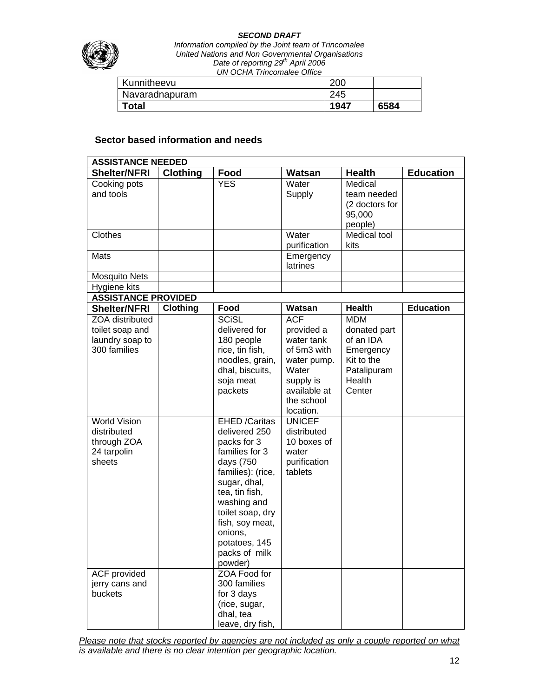

*Information compiled by the Joint team of Trincomalee United Nations and Non Governmental Organisations Date of reporting 29th April 2006 UN OCHA Trincomalee Office*

| Kunnitheevu    | 200  |      |
|----------------|------|------|
| Navaradnapuram | 245  |      |
| Total          | 1947 | 6584 |

# **Sector based information and needs**

|                            | <b>ASSISTANCE NEEDED</b> |                      |                         |                |                  |  |  |
|----------------------------|--------------------------|----------------------|-------------------------|----------------|------------------|--|--|
| <b>Shelter/NFRI</b>        | <b>Clothing</b>          | Food                 | Watsan                  | <b>Health</b>  | <b>Education</b> |  |  |
| Cooking pots               |                          | <b>YES</b>           | Water                   | Medical        |                  |  |  |
| and tools                  |                          |                      | Supply                  | team needed    |                  |  |  |
|                            |                          |                      |                         | (2 doctors for |                  |  |  |
|                            |                          |                      |                         | 95,000         |                  |  |  |
|                            |                          |                      |                         | people)        |                  |  |  |
| Clothes                    |                          |                      | Water                   | Medical tool   |                  |  |  |
|                            |                          |                      | purification            | kits           |                  |  |  |
| Mats                       |                          |                      | Emergency               |                |                  |  |  |
|                            |                          |                      | latrines                |                |                  |  |  |
| Mosquito Nets              |                          |                      |                         |                |                  |  |  |
| Hygiene kits               |                          |                      |                         |                |                  |  |  |
| <b>ASSISTANCE PROVIDED</b> |                          |                      |                         |                |                  |  |  |
| <b>Shelter/NFRI</b>        | <b>Clothing</b>          | Food                 | Watsan                  | <b>Health</b>  | <b>Education</b> |  |  |
| ZOA distributed            |                          | <b>SCISL</b>         | <b>ACF</b>              | <b>MDM</b>     |                  |  |  |
| toilet soap and            |                          | delivered for        | provided a              | donated part   |                  |  |  |
| laundry soap to            |                          | 180 people           | water tank              | of an IDA      |                  |  |  |
| 300 families               |                          | rice, tin fish,      | of 5m3 with             | Emergency      |                  |  |  |
|                            |                          | noodles, grain,      | water pump.             | Kit to the     |                  |  |  |
|                            |                          | dhal, biscuits,      | Water                   | Patalipuram    |                  |  |  |
|                            |                          | soja meat            | supply is               | Health         |                  |  |  |
|                            |                          | packets              | available at            | Center         |                  |  |  |
|                            |                          |                      | the school<br>location. |                |                  |  |  |
| <b>World Vision</b>        |                          | <b>EHED /Caritas</b> | <b>UNICEF</b>           |                |                  |  |  |
| distributed                |                          | delivered 250        | distributed             |                |                  |  |  |
| through ZOA                |                          | packs for 3          | 10 boxes of             |                |                  |  |  |
| 24 tarpolin                |                          | families for 3       | water                   |                |                  |  |  |
| sheets                     |                          | days (750            | purification            |                |                  |  |  |
|                            |                          | families): (rice,    | tablets                 |                |                  |  |  |
|                            |                          | sugar, dhal,         |                         |                |                  |  |  |
|                            |                          | tea, tin fish,       |                         |                |                  |  |  |
|                            |                          | washing and          |                         |                |                  |  |  |
|                            |                          | toilet soap, dry     |                         |                |                  |  |  |
|                            |                          | fish, soy meat,      |                         |                |                  |  |  |
|                            |                          | onions,              |                         |                |                  |  |  |
|                            |                          | potatoes, 145        |                         |                |                  |  |  |
|                            |                          | packs of milk        |                         |                |                  |  |  |
|                            |                          | powder)              |                         |                |                  |  |  |
| ACF provided               |                          | ZOA Food for         |                         |                |                  |  |  |
| jerry cans and             |                          | 300 families         |                         |                |                  |  |  |
| buckets                    |                          | for 3 days           |                         |                |                  |  |  |
|                            |                          | (rice, sugar,        |                         |                |                  |  |  |
|                            |                          | dhal, tea            |                         |                |                  |  |  |
|                            |                          | leave, dry fish,     |                         |                |                  |  |  |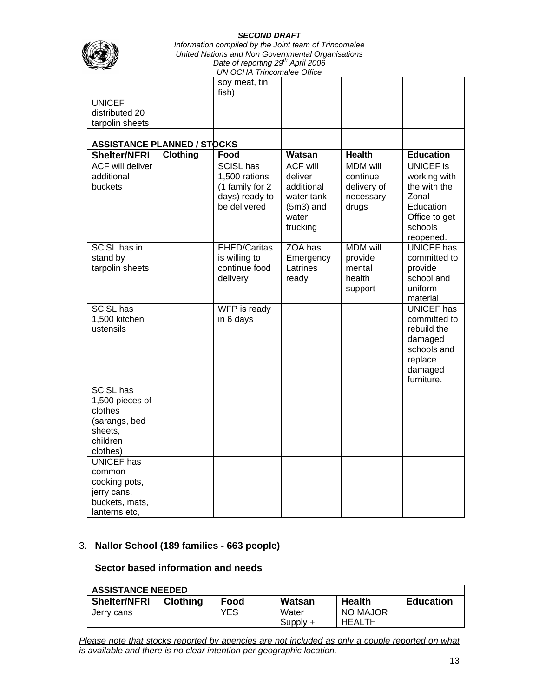

*Information compiled by the Joint team of Trincomalee United Nations and Non Governmental Organisations Date of reporting 29th April 2006 UN OCHA Trincomalee Office*

|                                                    |                 | soy meat, tin<br>fish)            |                       |                          |                                |
|----------------------------------------------------|-----------------|-----------------------------------|-----------------------|--------------------------|--------------------------------|
| <b>UNICEF</b><br>distributed 20<br>tarpolin sheets |                 |                                   |                       |                          |                                |
|                                                    |                 |                                   |                       |                          |                                |
| <b>ASSISTANCE PLANNED / STOCKS</b>                 |                 |                                   |                       |                          |                                |
| <b>Shelter/NFRI</b>                                | <b>Clothing</b> | Food                              | Watsan                | <b>Health</b>            | <b>Education</b>               |
| <b>ACF will deliver</b>                            |                 | <b>SCiSL has</b>                  | <b>ACF will</b>       | <b>MDM</b> will          | <b>UNICEF</b> is               |
| additional<br>buckets                              |                 | 1,500 rations                     | deliver<br>additional | continue                 | working with<br>the with the   |
|                                                    |                 | (1 family for 2<br>days) ready to | water tank            | delivery of<br>necessary | Zonal                          |
|                                                    |                 | be delivered                      | $(5m3)$ and           | drugs                    | Education                      |
|                                                    |                 |                                   | water                 |                          | Office to get                  |
|                                                    |                 |                                   | trucking              |                          | schools                        |
|                                                    |                 |                                   |                       |                          | reopened.                      |
| <b>SCiSL has in</b>                                |                 | <b>EHED/Caritas</b>               | ZOA has               | <b>MDM</b> will          | <b>UNICEF</b> has              |
| stand by                                           |                 | is willing to                     | Emergency             | provide                  | committed to                   |
| tarpolin sheets                                    |                 | continue food                     | Latrines              | mental                   | provide                        |
|                                                    |                 | delivery                          | ready                 | health                   | school and                     |
|                                                    |                 |                                   |                       | support                  | uniform                        |
|                                                    |                 |                                   |                       |                          | material.<br><b>UNICEF</b> has |
| <b>SCiSL has</b><br>1,500 kitchen                  |                 | WFP is ready<br>in 6 days         |                       |                          | committed to                   |
| ustensils                                          |                 |                                   |                       |                          | rebuild the                    |
|                                                    |                 |                                   |                       |                          | damaged                        |
|                                                    |                 |                                   |                       |                          | schools and                    |
|                                                    |                 |                                   |                       |                          | replace                        |
|                                                    |                 |                                   |                       |                          | damaged                        |
|                                                    |                 |                                   |                       |                          | furniture.                     |
| <b>SCiSL has</b>                                   |                 |                                   |                       |                          |                                |
| 1,500 pieces of                                    |                 |                                   |                       |                          |                                |
| clothes                                            |                 |                                   |                       |                          |                                |
| (sarangs, bed                                      |                 |                                   |                       |                          |                                |
| sheets,<br>children                                |                 |                                   |                       |                          |                                |
| clothes)                                           |                 |                                   |                       |                          |                                |
| <b>UNICEF</b> has                                  |                 |                                   |                       |                          |                                |
| common                                             |                 |                                   |                       |                          |                                |
| cooking pots,                                      |                 |                                   |                       |                          |                                |
| jerry cans,                                        |                 |                                   |                       |                          |                                |
| buckets, mats,                                     |                 |                                   |                       |                          |                                |
| lanterns etc,                                      |                 |                                   |                       |                          |                                |

# 3. **Nallor School (189 families - 663 people)**

## **Sector based information and needs**

| <b>ASSISTANCE NEEDED</b> |                 |      |            |               |                  |  |
|--------------------------|-----------------|------|------------|---------------|------------------|--|
| <b>Shelter/NFRI</b>      | <b>Clothing</b> | Food | Watsan     | <b>Health</b> | <b>Education</b> |  |
| Jerry cans               |                 | YES  | Water      | NO MAJOR      |                  |  |
|                          |                 |      | $Supply +$ | HEALTH        |                  |  |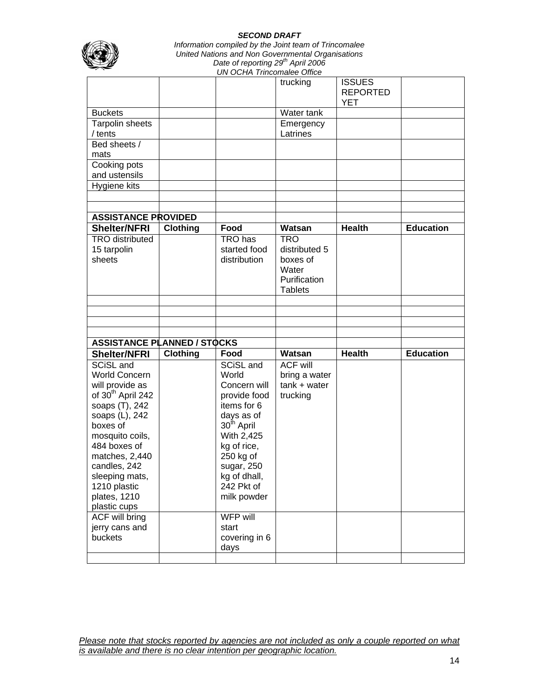

*Information compiled by the Joint team of Trincomalee United Nations and Non Governmental Organisations Date of reporting 29th April 2006 UN OCHA Trincomalee Office*

|                                                                                                                                                                                                                                                                              |                 |                                                                                                                                                                                                                | trucking                                                                           | <b>ISSUES</b><br><b>REPORTED</b><br><b>YET</b> |                  |
|------------------------------------------------------------------------------------------------------------------------------------------------------------------------------------------------------------------------------------------------------------------------------|-----------------|----------------------------------------------------------------------------------------------------------------------------------------------------------------------------------------------------------------|------------------------------------------------------------------------------------|------------------------------------------------|------------------|
| <b>Buckets</b>                                                                                                                                                                                                                                                               |                 |                                                                                                                                                                                                                | Water tank                                                                         |                                                |                  |
| Tarpolin sheets<br>/ tents                                                                                                                                                                                                                                                   |                 |                                                                                                                                                                                                                | Emergency<br>Latrines                                                              |                                                |                  |
| Bed sheets /<br>mats                                                                                                                                                                                                                                                         |                 |                                                                                                                                                                                                                |                                                                                    |                                                |                  |
| Cooking pots<br>and ustensils                                                                                                                                                                                                                                                |                 |                                                                                                                                                                                                                |                                                                                    |                                                |                  |
| Hygiene kits                                                                                                                                                                                                                                                                 |                 |                                                                                                                                                                                                                |                                                                                    |                                                |                  |
|                                                                                                                                                                                                                                                                              |                 |                                                                                                                                                                                                                |                                                                                    |                                                |                  |
|                                                                                                                                                                                                                                                                              |                 |                                                                                                                                                                                                                |                                                                                    |                                                |                  |
| <b>ASSISTANCE PROVIDED</b>                                                                                                                                                                                                                                                   |                 |                                                                                                                                                                                                                |                                                                                    |                                                |                  |
| <b>Shelter/NFRI</b>                                                                                                                                                                                                                                                          | <b>Clothing</b> | Food                                                                                                                                                                                                           | Watsan                                                                             | <b>Health</b>                                  | <b>Education</b> |
| <b>TRO</b> distributed<br>15 tarpolin<br>sheets                                                                                                                                                                                                                              |                 | TRO has<br>started food<br>distribution                                                                                                                                                                        | <b>TRO</b><br>distributed 5<br>boxes of<br>Water<br>Purification<br><b>Tablets</b> |                                                |                  |
|                                                                                                                                                                                                                                                                              |                 |                                                                                                                                                                                                                |                                                                                    |                                                |                  |
|                                                                                                                                                                                                                                                                              |                 |                                                                                                                                                                                                                |                                                                                    |                                                |                  |
|                                                                                                                                                                                                                                                                              |                 |                                                                                                                                                                                                                |                                                                                    |                                                |                  |
|                                                                                                                                                                                                                                                                              |                 |                                                                                                                                                                                                                |                                                                                    |                                                |                  |
| <b>ASSISTANCE PLANNED / STOCKS</b>                                                                                                                                                                                                                                           |                 |                                                                                                                                                                                                                |                                                                                    | <b>Health</b>                                  | <b>Education</b> |
| <b>Shelter/NFRI</b>                                                                                                                                                                                                                                                          | <b>Clothing</b> | Food                                                                                                                                                                                                           | Watsan                                                                             |                                                |                  |
| SCiSL and<br><b>World Concern</b><br>will provide as<br>of 30 <sup>th</sup> April 242<br>soaps (T), 242<br>soaps (L), 242<br>boxes of<br>mosquito coils,<br>484 boxes of<br>matches, 2,440<br>candles, 242<br>sleeping mats,<br>1210 plastic<br>plates, 1210<br>plastic cups |                 | SCiSL and<br>World<br>Concern will<br>provide food<br>items for 6<br>days as of<br>30 <sup>th</sup> April<br>With 2,425<br>kg of rice,<br>250 kg of<br>sugar, 250<br>kg of dhall,<br>242 Pkt of<br>milk powder | <b>ACF will</b><br>bring a water<br>$tank + water$<br>trucking                     |                                                |                  |
| <b>ACF will bring</b><br>jerry cans and<br>buckets                                                                                                                                                                                                                           |                 | WFP will<br>start<br>covering in 6<br>days                                                                                                                                                                     |                                                                                    |                                                |                  |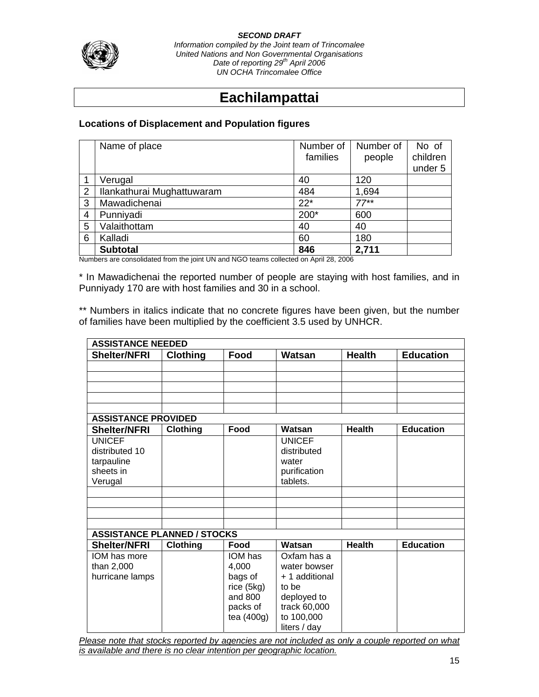

*Information compiled by the Joint team of Trincomalee United Nations and Non Governmental Organisations Date of reporting 29th April 2006 UN OCHA Trincomalee Office*

# **Eachilampattai**

# **Locations of Displacement and Population figures**

|   | Name of place              | Number of | Number of | No of    |
|---|----------------------------|-----------|-----------|----------|
|   |                            | families  | people    | children |
|   |                            |           |           | under 5  |
|   | Verugal                    | 40        | 120       |          |
| 2 | Ilankathurai Mughattuwaram | 484       | 1,694     |          |
| 3 | Mawadichenai               | $22*$     | $77**$    |          |
| 4 | Punniyadi                  | 200*      | 600       |          |
| 5 | Valaithottam               | 40        | 40        |          |
| 6 | Kalladi                    | 60        | 180       |          |
|   | <b>Subtotal</b>            | 846       | 2,711     |          |

Numbers are consolidated from the joint UN and NGO teams collected on April 28, 2006

\* In Mawadichenai the reported number of people are staying with host families, and in Punniyady 170 are with host families and 30 in a school.

\*\* Numbers in italics indicate that no concrete figures have been given, but the number of families have been multiplied by the coefficient 3.5 used by UNHCR.

|                                    | <b>ASSISTANCE NEEDED</b> |              |                |               |                  |  |  |  |
|------------------------------------|--------------------------|--------------|----------------|---------------|------------------|--|--|--|
| <b>Shelter/NFRI</b>                | <b>Clothing</b>          | Food         | Watsan         | <b>Health</b> | <b>Education</b> |  |  |  |
|                                    |                          |              |                |               |                  |  |  |  |
|                                    |                          |              |                |               |                  |  |  |  |
|                                    |                          |              |                |               |                  |  |  |  |
|                                    |                          |              |                |               |                  |  |  |  |
|                                    |                          |              |                |               |                  |  |  |  |
| <b>ASSISTANCE PROVIDED</b>         |                          |              |                |               |                  |  |  |  |
| <b>Shelter/NFRI</b>                | <b>Clothing</b>          | Food         | Watsan         | <b>Health</b> | <b>Education</b> |  |  |  |
| <b>UNICEF</b>                      |                          |              | <b>UNICEF</b>  |               |                  |  |  |  |
| distributed 10                     |                          |              | distributed    |               |                  |  |  |  |
| tarpauline                         |                          |              | water          |               |                  |  |  |  |
| sheets in                          |                          |              | purification   |               |                  |  |  |  |
| Verugal                            |                          |              | tablets.       |               |                  |  |  |  |
|                                    |                          |              |                |               |                  |  |  |  |
|                                    |                          |              |                |               |                  |  |  |  |
|                                    |                          |              |                |               |                  |  |  |  |
|                                    |                          |              |                |               |                  |  |  |  |
| <b>ASSISTANCE PLANNED / STOCKS</b> |                          |              |                |               |                  |  |  |  |
| <b>Shelter/NFRI</b>                | <b>Clothing</b>          | Food         | Watsan         | <b>Health</b> | <b>Education</b> |  |  |  |
| IOM has more                       |                          | IOM has      | Oxfam has a    |               |                  |  |  |  |
| than 2,000                         |                          | 4,000        | water bowser   |               |                  |  |  |  |
| hurricane lamps                    |                          | bags of      | + 1 additional |               |                  |  |  |  |
|                                    |                          | rice (5kg)   | to be          |               |                  |  |  |  |
|                                    |                          | and 800      | deployed to    |               |                  |  |  |  |
|                                    |                          | packs of     | track 60,000   |               |                  |  |  |  |
|                                    |                          | tea $(400g)$ | to 100,000     |               |                  |  |  |  |
|                                    |                          |              | liters / day   |               |                  |  |  |  |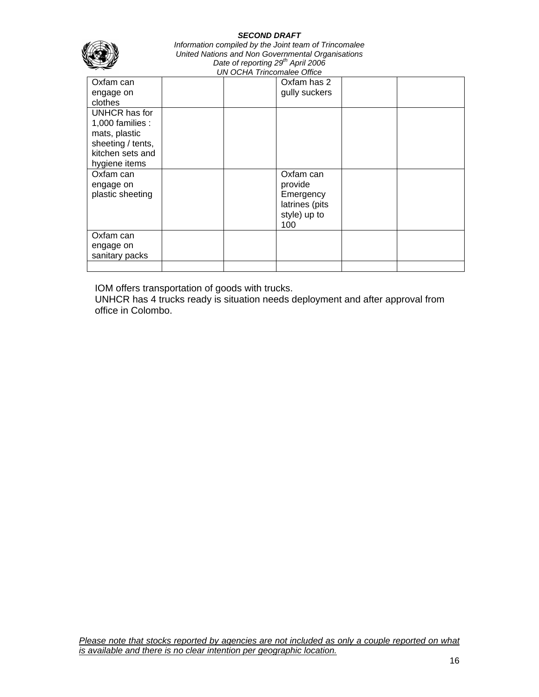| <b>SECOND DRAFT</b><br>Information compiled by the Joint team of Trincomalee<br>United Nations and Non Governmental Organisations<br>Date of reporting 29 <sup>th</sup> April 2006<br><b>UN OCHA Trincomalee Office</b> |  |  |                                                                            |  |  |  |
|-------------------------------------------------------------------------------------------------------------------------------------------------------------------------------------------------------------------------|--|--|----------------------------------------------------------------------------|--|--|--|
| Oxfam can<br>engage on                                                                                                                                                                                                  |  |  | Oxfam has 2<br>gully suckers                                               |  |  |  |
| clothes                                                                                                                                                                                                                 |  |  |                                                                            |  |  |  |
| UNHCR has for<br>1,000 families :<br>mats, plastic<br>sheeting / tents,<br>kitchen sets and<br>hygiene items                                                                                                            |  |  |                                                                            |  |  |  |
| Oxfam can<br>engage on<br>plastic sheeting                                                                                                                                                                              |  |  | Oxfam can<br>provide<br>Emergency<br>latrines (pits<br>style) up to<br>100 |  |  |  |
| Oxfam can<br>engage on<br>sanitary packs                                                                                                                                                                                |  |  |                                                                            |  |  |  |
|                                                                                                                                                                                                                         |  |  |                                                                            |  |  |  |

IOM offers transportation of goods with trucks.

UNHCR has 4 trucks ready is situation needs deployment and after approval from office in Colombo.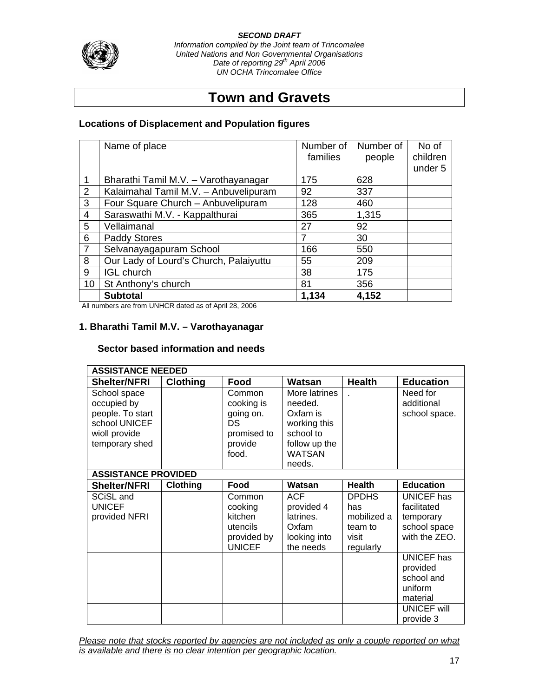*Information compiled by the Joint team of Trincomalee United Nations and Non Governmental Organisations Date of reporting 29th April 2006 UN OCHA Trincomalee Office*

# **Town and Gravets**

# **Locations of Displacement and Population figures**

|                | Name of place                          | Number of<br>families | Number of | No of<br>children |
|----------------|----------------------------------------|-----------------------|-----------|-------------------|
|                |                                        |                       | people    | under 5           |
| 1              | Bharathi Tamil M.V. - Varothayanagar   | 175                   | 628       |                   |
| $\overline{2}$ | Kalaimahal Tamil M.V. - Anbuvelipuram  | 92                    | 337       |                   |
| 3              | Four Square Church - Anbuvelipuram     | 128                   | 460       |                   |
| 4              | Saraswathi M.V. - Kappalthurai         | 365                   | 1,315     |                   |
| 5              | Vellaimanal                            | 27                    | 92        |                   |
| 6              | <b>Paddy Stores</b>                    | 7                     | 30        |                   |
| $\overline{7}$ | Selvanayagapuram School                | 166                   | 550       |                   |
| 8              | Our Lady of Lourd's Church, Palaiyuttu | 55                    | 209       |                   |
| 9              | <b>IGL church</b>                      | 38                    | 175       |                   |
| 10             | St Anthony's church                    | 81                    | 356       |                   |
|                | <b>Subtotal</b>                        | 1,134                 | 4,152     |                   |

All numbers are from UNHCR dated as of April 28, 2006

## **1. Bharathi Tamil M.V. – Varothayanagar**

#### **Sector based information and needs**

| <b>ASSISTANCE NEEDED</b>   |                 |               |               |               |                    |  |  |  |
|----------------------------|-----------------|---------------|---------------|---------------|--------------------|--|--|--|
| <b>Shelter/NFRI</b>        | <b>Clothing</b> | Food          | Watsan        | <b>Health</b> | <b>Education</b>   |  |  |  |
| School space               |                 | Common        | More latrines |               | Need for           |  |  |  |
| occupied by                |                 | cooking is    | needed.       |               | additional         |  |  |  |
| people. To start           |                 | going on.     | Oxfam is      |               | school space.      |  |  |  |
| school UNICEF              |                 | <b>DS</b>     | working this  |               |                    |  |  |  |
| wioll provide              |                 | promised to   | school to     |               |                    |  |  |  |
| temporary shed             |                 | provide       | follow up the |               |                    |  |  |  |
|                            |                 | food.         | <b>WATSAN</b> |               |                    |  |  |  |
|                            |                 |               | needs.        |               |                    |  |  |  |
| <b>ASSISTANCE PROVIDED</b> |                 |               |               |               |                    |  |  |  |
| <b>Shelter/NFRI</b>        | Clothing        | Food          | Watsan        | <b>Health</b> | <b>Education</b>   |  |  |  |
| SCiSL and                  |                 | Common        | <b>ACF</b>    | <b>DPDHS</b>  | UNICEF has         |  |  |  |
| <b>UNICEF</b>              |                 | cooking       | provided 4    | has           | facilitated        |  |  |  |
| provided NFRI              |                 | kitchen       | latrines.     | mobilized a   | temporary          |  |  |  |
|                            |                 | utencils      | Oxfam         | team to       | school space       |  |  |  |
|                            |                 | provided by   | looking into  | visit         | with the ZEO.      |  |  |  |
|                            |                 | <b>UNICEF</b> | the needs     | regularly     |                    |  |  |  |
|                            |                 |               |               |               | <b>UNICEF has</b>  |  |  |  |
|                            |                 |               |               |               | provided           |  |  |  |
|                            |                 |               |               |               | school and         |  |  |  |
|                            |                 |               |               |               | uniform            |  |  |  |
|                            |                 |               |               |               | material           |  |  |  |
|                            |                 |               |               |               | <b>UNICEF will</b> |  |  |  |
|                            |                 |               |               |               | provide 3          |  |  |  |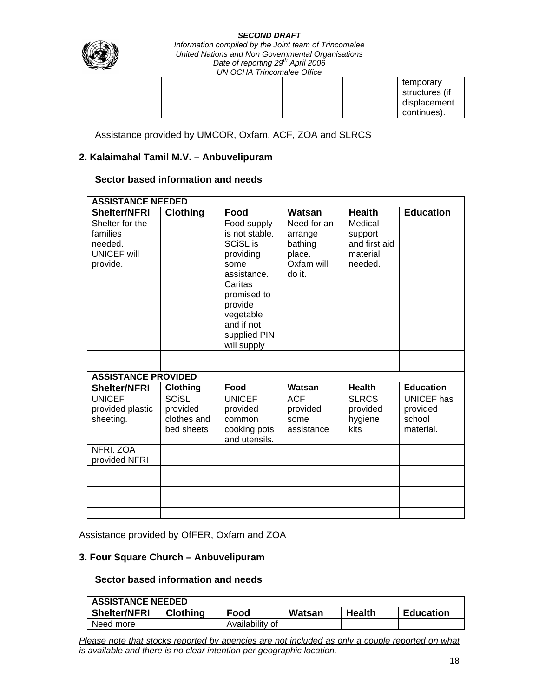| SEGUND DRAFI<br>Information compiled by the Joint team of Trincomalee<br>United Nations and Non Governmental Organisations<br>Date of reporting 29 <sup>th</sup> April 2006<br><b>UN OCHA Trincomalee Office</b> |  |  |                                                            |  |
|------------------------------------------------------------------------------------------------------------------------------------------------------------------------------------------------------------------|--|--|------------------------------------------------------------|--|
|                                                                                                                                                                                                                  |  |  | temporary<br>structures (if<br>displacement<br>continues). |  |

Assistance provided by UMCOR, Oxfam, ACF, ZOA and SLRCS

#### **2. Kalaimahal Tamil M.V. – Anbuvelipuram**

#### **Sector based information and needs**

| <b>ASSISTANCE NEEDED</b>                                                        |                                       |                                                                                                                                                                                     |                                                                     |                                                            |                                                      |  |  |  |
|---------------------------------------------------------------------------------|---------------------------------------|-------------------------------------------------------------------------------------------------------------------------------------------------------------------------------------|---------------------------------------------------------------------|------------------------------------------------------------|------------------------------------------------------|--|--|--|
| <b>Shelter/NFRI</b>                                                             | <b>Clothing</b>                       | Food                                                                                                                                                                                | Watsan                                                              | <b>Health</b>                                              | <b>Education</b>                                     |  |  |  |
| Shelter for the<br>families<br>needed.<br><b>UNICEF will</b><br>provide.        |                                       | Food supply<br>is not stable.<br><b>SCISL is</b><br>providing<br>some<br>assistance.<br>Caritas<br>promised to<br>provide<br>vegetable<br>and if not<br>supplied PIN<br>will supply | Need for an<br>arrange<br>bathing<br>place.<br>Oxfam will<br>do it. | Medical<br>support<br>and first aid<br>material<br>needed. |                                                      |  |  |  |
|                                                                                 |                                       |                                                                                                                                                                                     |                                                                     |                                                            |                                                      |  |  |  |
|                                                                                 |                                       |                                                                                                                                                                                     |                                                                     |                                                            |                                                      |  |  |  |
|                                                                                 |                                       |                                                                                                                                                                                     |                                                                     |                                                            |                                                      |  |  |  |
|                                                                                 |                                       |                                                                                                                                                                                     |                                                                     |                                                            |                                                      |  |  |  |
| provided plastic<br>sheeting.                                                   | provided<br>clothes and<br>bed sheets | provided<br>common<br>cooking pots<br>and utensils.                                                                                                                                 | provided<br>some<br>assistance                                      | provided<br>hygiene<br>kits                                | <b>UNICEF</b> has<br>provided<br>school<br>material. |  |  |  |
| provided NFRI                                                                   |                                       |                                                                                                                                                                                     |                                                                     |                                                            |                                                      |  |  |  |
|                                                                                 |                                       |                                                                                                                                                                                     |                                                                     |                                                            |                                                      |  |  |  |
|                                                                                 |                                       |                                                                                                                                                                                     |                                                                     |                                                            |                                                      |  |  |  |
|                                                                                 |                                       |                                                                                                                                                                                     |                                                                     |                                                            |                                                      |  |  |  |
|                                                                                 |                                       |                                                                                                                                                                                     |                                                                     |                                                            |                                                      |  |  |  |
| <b>ASSISTANCE PROVIDED</b><br><b>Shelter/NFRI</b><br><b>UNICEF</b><br>NFRI. ZOA | Clothing<br><b>SCISL</b>              | Food<br><b>UNICEF</b>                                                                                                                                                               | Watsan<br><b>ACF</b>                                                | <b>Health</b><br><b>SLRCS</b>                              | <b>Education</b>                                     |  |  |  |

Assistance provided by OfFER, Oxfam and ZOA

## **3. Four Square Church – Anbuvelipuram**

## **Sector based information and needs**

| <b>ASSISTANCE NEEDED</b> |                 |                 |        |               |                  |  |  |  |
|--------------------------|-----------------|-----------------|--------|---------------|------------------|--|--|--|
| <b>Shelter/NFRI</b>      | <b>Clothing</b> | Food            | Watsan | <b>Health</b> | <b>Education</b> |  |  |  |
| Need more                |                 | Availability of |        |               |                  |  |  |  |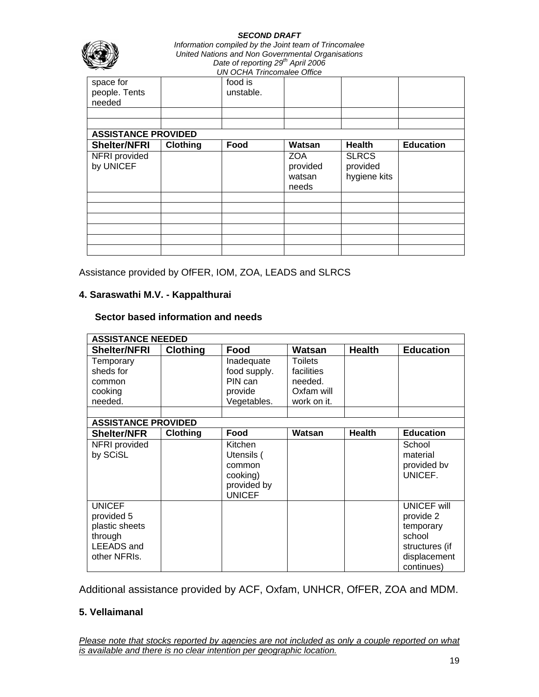| <b>SECOND DRAFT</b><br>Information compiled by the Joint team of Trincomalee<br>United Nations and Non Governmental Organisations<br>Date of reporting 29 <sup>th</sup> April 2006<br><b>UN OCHA Trincomalee Office</b> |                                                |                      |                                                     |                                                           |  |  |  |  |
|-------------------------------------------------------------------------------------------------------------------------------------------------------------------------------------------------------------------------|------------------------------------------------|----------------------|-----------------------------------------------------|-----------------------------------------------------------|--|--|--|--|
| space for<br>people. Tents<br>needed                                                                                                                                                                                    |                                                | food is<br>unstable. |                                                     |                                                           |  |  |  |  |
| <b>Shelter/NFRI</b>                                                                                                                                                                                                     | <b>ASSISTANCE PROVIDED</b><br><b>Education</b> |                      |                                                     |                                                           |  |  |  |  |
| NFRI provided<br>by UNICEF                                                                                                                                                                                              | <b>Clothing</b>                                | Food                 | Watsan<br><b>ZOA</b><br>provided<br>watsan<br>needs | <b>Health</b><br><b>SLRCS</b><br>provided<br>hygiene kits |  |  |  |  |
|                                                                                                                                                                                                                         |                                                |                      |                                                     |                                                           |  |  |  |  |
|                                                                                                                                                                                                                         |                                                |                      |                                                     |                                                           |  |  |  |  |

Assistance provided by OfFER, IOM, ZOA, LEADS and SLRCS

# **4. Saraswathi M.V. - Kappalthurai**

### **Sector based information and needs**

| <b>ASSISTANCE NEEDED</b>   |                 |               |                |               |                    |  |  |
|----------------------------|-----------------|---------------|----------------|---------------|--------------------|--|--|
| <b>Shelter/NFRI</b>        | <b>Clothing</b> | Food          | Watsan         | <b>Health</b> | <b>Education</b>   |  |  |
| Temporary                  |                 | Inadequate    | <b>Toilets</b> |               |                    |  |  |
| sheds for                  |                 | food supply.  | facilities     |               |                    |  |  |
| common                     |                 | PIN can       | needed.        |               |                    |  |  |
| cooking                    |                 | provide       | Oxfam will     |               |                    |  |  |
| needed.                    |                 | Vegetables.   | work on it.    |               |                    |  |  |
|                            |                 |               |                |               |                    |  |  |
| <b>ASSISTANCE PROVIDED</b> |                 |               |                |               |                    |  |  |
| <b>Shelter/NFR</b>         | Clothing        | Food          | Watsan         | <b>Health</b> | <b>Education</b>   |  |  |
| NFRI provided              |                 | Kitchen       |                |               | School             |  |  |
| by SCiSL                   |                 | Utensils (    |                |               | material           |  |  |
|                            |                 | common        |                |               | provided bv        |  |  |
|                            |                 | cooking)      |                |               | UNICEF.            |  |  |
|                            |                 | provided by   |                |               |                    |  |  |
|                            |                 | <b>UNICEF</b> |                |               |                    |  |  |
| <b>UNICEF</b>              |                 |               |                |               | <b>UNICEF will</b> |  |  |
| provided 5                 |                 |               |                |               | provide 2          |  |  |
| plastic sheets             |                 |               |                |               | temporary          |  |  |
| through                    |                 |               |                |               | school             |  |  |
| <b>LEEADS</b> and          |                 |               |                |               | structures (if     |  |  |
| other NFRIs.               |                 |               |                |               | displacement       |  |  |
|                            |                 |               |                |               | continues)         |  |  |

Additional assistance provided by ACF, Oxfam, UNHCR, OfFER, ZOA and MDM.

#### **5. Vellaimanal**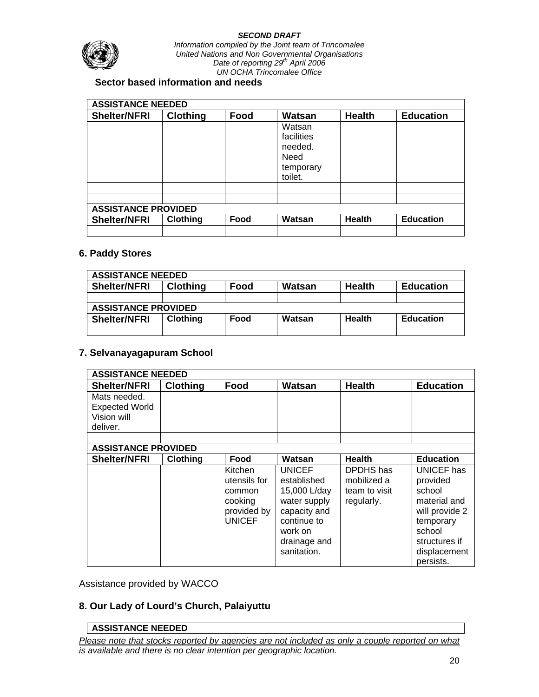

### **Sector based information and needs**

| <b>ASSISTANCE NEEDED</b>   |                 |      |                                                                 |               |                  |  |  |  |
|----------------------------|-----------------|------|-----------------------------------------------------------------|---------------|------------------|--|--|--|
| <b>Shelter/NFRI</b>        | <b>Clothing</b> | Food | Watsan                                                          | <b>Health</b> | <b>Education</b> |  |  |  |
|                            |                 |      | Watsan<br>facilities<br>needed.<br>Need<br>temporary<br>toilet. |               |                  |  |  |  |
|                            |                 |      |                                                                 |               |                  |  |  |  |
| <b>ASSISTANCE PROVIDED</b> |                 |      |                                                                 |               |                  |  |  |  |
| <b>Shelter/NFRI</b>        | <b>Clothing</b> | Food | Watsan                                                          | <b>Health</b> | <b>Education</b> |  |  |  |
|                            |                 |      |                                                                 |               |                  |  |  |  |

## **6. Paddy Stores**

| <b>ASSISTANCE NEEDED</b>   |                 |      |        |               |                  |  |  |  |
|----------------------------|-----------------|------|--------|---------------|------------------|--|--|--|
| <b>Shelter/NFRI</b>        | <b>Clothing</b> | Food | Watsan | <b>Health</b> | <b>Education</b> |  |  |  |
|                            |                 |      |        |               |                  |  |  |  |
| <b>ASSISTANCE PROVIDED</b> |                 |      |        |               |                  |  |  |  |
| <b>Shelter/NFRI</b>        | <b>Clothing</b> | Food | Watsan | <b>Health</b> | <b>Education</b> |  |  |  |
|                            |                 |      |        |               |                  |  |  |  |

#### **7. Selvanayagapuram School**

| <b>ASSISTANCE NEEDED</b>   |                 |                         |                              |                          |                        |
|----------------------------|-----------------|-------------------------|------------------------------|--------------------------|------------------------|
| <b>Shelter/NFRI</b>        | <b>Clothing</b> | Food                    | Watsan                       | <b>Health</b>            | <b>Education</b>       |
| Mats needed.               |                 |                         |                              |                          |                        |
| <b>Expected World</b>      |                 |                         |                              |                          |                        |
| Vision will                |                 |                         |                              |                          |                        |
| deliver.                   |                 |                         |                              |                          |                        |
|                            |                 |                         |                              |                          |                        |
| <b>ASSISTANCE PROVIDED</b> |                 |                         |                              |                          |                        |
| <b>Shelter/NFRI</b>        | <b>Clothing</b> | Food                    | Watsan                       | <b>Health</b>            | <b>Education</b>       |
|                            |                 | Kitchen<br>utensils for | <b>UNICEF</b><br>established | DPDHS has<br>mobilized a | UNICEF has<br>provided |
|                            |                 |                         |                              | team to visit            | school                 |
|                            |                 | common                  | 15,000 L/day                 |                          | material and           |
|                            |                 | cooking<br>provided by  | water supply<br>capacity and | regularly.               | will provide 2         |
|                            |                 | <b>UNICEF</b>           | continue to                  |                          |                        |
|                            |                 |                         | work on                      |                          | temporary<br>school    |
|                            |                 |                         |                              |                          |                        |
|                            |                 |                         | drainage and                 |                          | structures if          |
|                            |                 |                         | sanitation.                  |                          | displacement           |
|                            |                 |                         |                              |                          | persists.              |

Assistance provided by WACCO

# **8. Our Lady of Lourd's Church, Palaiyuttu**

#### **ASSISTANCE NEEDED**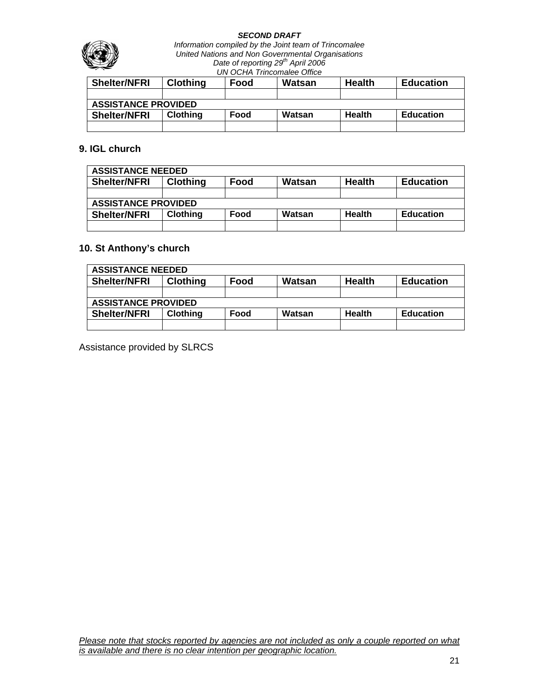

| <b>Shelter/NFRI</b>        | <b>Clothing</b> | Food | Watsan | <b>Health</b> | <b>Education</b> |  |
|----------------------------|-----------------|------|--------|---------------|------------------|--|
|                            |                 |      |        |               |                  |  |
| <b>ASSISTANCE PROVIDED</b> |                 |      |        |               |                  |  |
| <b>Shelter/NFRI</b>        | <b>Clothing</b> | Food | Watsan | <b>Health</b> | <b>Education</b> |  |
|                            |                 |      |        |               |                  |  |

## **9. IGL church**

| <b>ASSISTANCE NEEDED</b>   |                 |      |        |               |                  |  |
|----------------------------|-----------------|------|--------|---------------|------------------|--|
| <b>Shelter/NFRI</b>        | <b>Clothing</b> | Food | Watsan | <b>Health</b> | <b>Education</b> |  |
|                            |                 |      |        |               |                  |  |
| <b>ASSISTANCE PROVIDED</b> |                 |      |        |               |                  |  |
| <b>Shelter/NFRI</b>        | <b>Clothing</b> | Food | Watsan | <b>Health</b> | <b>Education</b> |  |
|                            |                 |      |        |               |                  |  |

# **10. St Anthony's church**

| <b>ASSISTANCE NEEDED</b>   |                 |      |        |               |                  |  |
|----------------------------|-----------------|------|--------|---------------|------------------|--|
| <b>Shelter/NFRI</b>        | <b>Clothing</b> | Food | Watsan | <b>Health</b> | <b>Education</b> |  |
|                            |                 |      |        |               |                  |  |
| <b>ASSISTANCE PROVIDED</b> |                 |      |        |               |                  |  |
| <b>Shelter/NFRI</b>        | <b>Clothing</b> | Food | Watsan | <b>Health</b> | <b>Education</b> |  |
|                            |                 |      |        |               |                  |  |

Assistance provided by SLRCS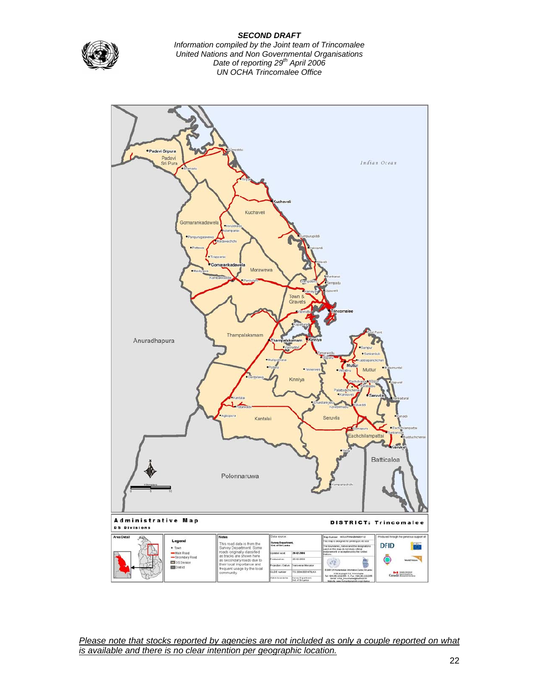

*Information compiled by the Joint team of Trincomalee United Nations and Non Governmental Organisations Date of reporting 29th April 2006 UN OCHA Trincomalee Office*

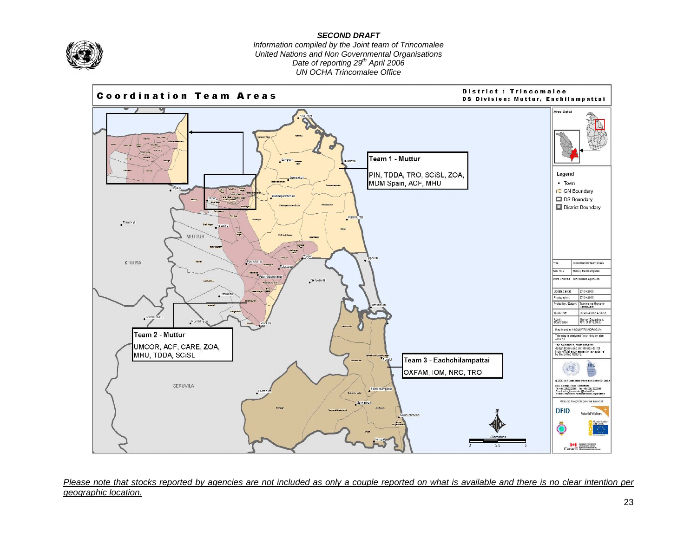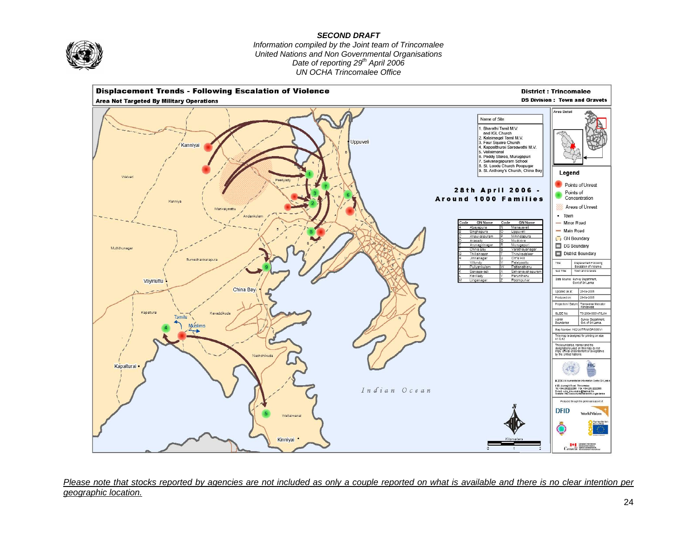

*Information compiled by the Joint team of Trincomalee United Nations and Non Governmental Organisations Date of reporting 29th April 2006 UN OCHA Trincomalee Office*